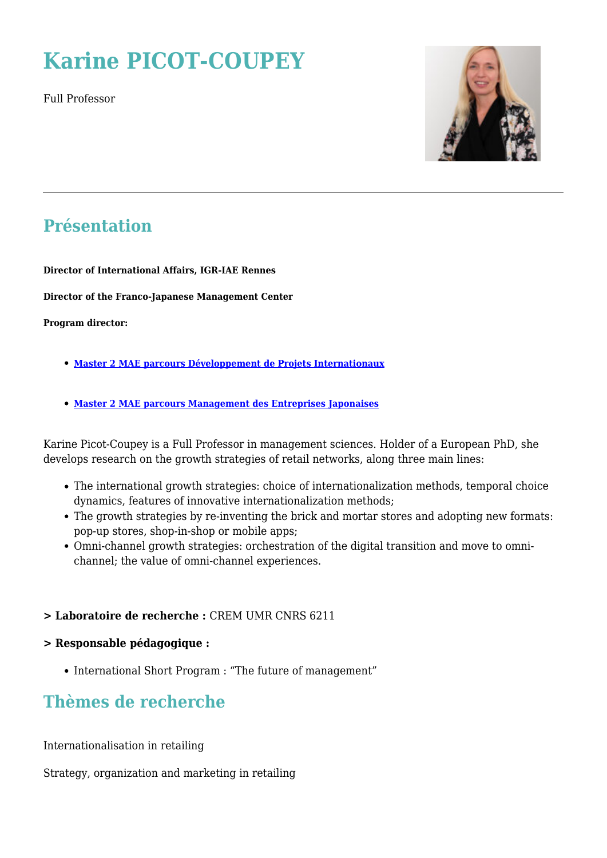# **Karine PICOT-COUPEY**

Full Professor



### **Présentation**

**Director of International Affairs, IGR-IAE Rennes**

**Director of the Franco-Japanese Management Center**

**Program director:**

- **[Master 2 MAE parcours Développement de Projets Internationaux](https://www.www.igr.univ-rennes1.fr/diplome/fi-mae-international)**
- **[Master 2 MAE parcours Management des Entreprises Japonaises](https://www.www.igr.univ-rennes1.fr/diplome/fi-mae-cfjm)**

Karine Picot-Coupey is a Full Professor in management sciences. Holder of a European PhD, she develops research on the growth strategies of retail networks, along three main lines:

- The international growth strategies: choice of internationalization methods, temporal choice dynamics, features of innovative internationalization methods;
- The growth strategies by re-inventing the brick and mortar stores and adopting new formats: pop-up stores, shop-in-shop or mobile apps;
- Omni-channel growth strategies: orchestration of the digital transition and move to omnichannel; the value of omni-channel experiences.

#### **> Laboratoire de recherche :** CREM UMR CNRS 6211

#### **> Responsable pédagogique :**

• International Short Program : "The future of management"

### **Thèmes de recherche**

Internationalisation in retailing

Strategy, organization and marketing in retailing